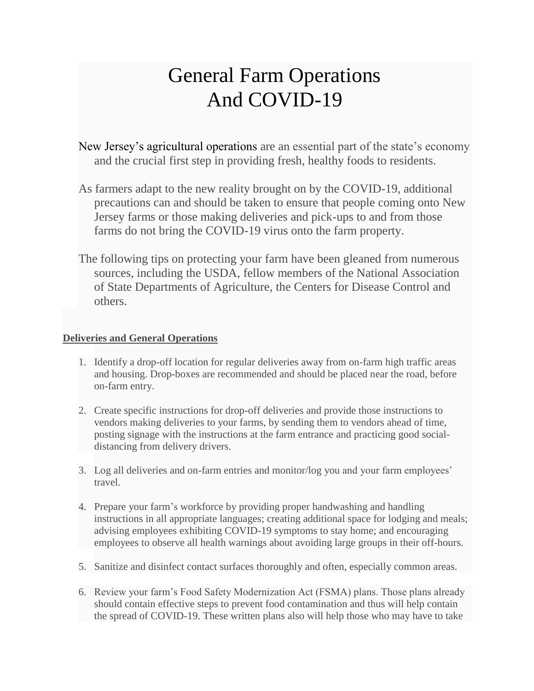## General Farm Operations And COVID-19

New Jersey's agricultural operations are an essential part of the state's economy and the crucial first step in providing fresh, healthy foods to residents.

- As farmers adapt to the new reality brought on by the COVID-19, additional precautions can and should be taken to ensure that people coming onto New Jersey farms or those making deliveries and pick-ups to and from those farms do not bring the COVID-19 virus onto the farm property.
- The following tips on protecting your farm have been gleaned from numerous sources, including the USDA, fellow members of the National Association of State Departments of Agriculture, the Centers for Disease Control and others.

## **Deliveries and General Operations**

- 1. Identify a drop-off location for regular deliveries away from on-farm high traffic areas and housing. Drop-boxes are recommended and should be placed near the road, before on-farm entry.
- 2. Create specific instructions for drop-off deliveries and provide those instructions to vendors making deliveries to your farms, by sending them to vendors ahead of time, posting signage with the instructions at the farm entrance and practicing good socialdistancing from delivery drivers.
- 3. Log all deliveries and on-farm entries and monitor/log you and your farm employees' travel.
- 4. Prepare your farm's workforce by providing proper handwashing and handling instructions in all appropriate languages; creating additional space for lodging and meals; advising employees exhibiting COVID-19 symptoms to stay home; and encouraging employees to observe all health warnings about avoiding large groups in their off-hours.
- 5. Sanitize and disinfect contact surfaces thoroughly and often, especially common areas.
- 6. Review your farm's Food Safety Modernization Act (FSMA) plans. Those plans already should contain effective steps to prevent food contamination and thus will help contain the spread of COVID-19. These written plans also will help those who may have to take